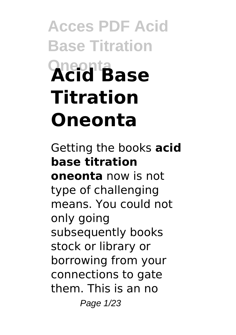# **Acces PDF Acid Base Titration Oneonta Acid Base Titration Oneonta**

Getting the books **acid base titration oneonta** now is not type of challenging means. You could not only going subsequently books stock or library or borrowing from your connections to gate them. This is an no Page 1/23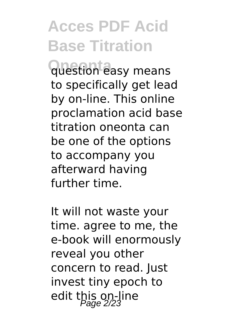**Oneonta** question easy means to specifically get lead by on-line. This online proclamation acid base titration oneonta can be one of the options to accompany you afterward having further time.

It will not waste your time. agree to me, the e-book will enormously reveal you other concern to read. Just invest tiny epoch to edit this on-line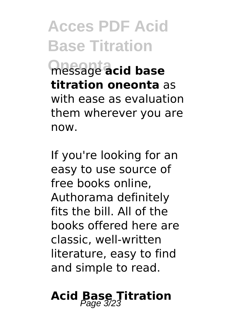**Oneonta** message **acid base titration oneonta** as with ease as evaluation them wherever you are now.

If you're looking for an easy to use source of free books online, Authorama definitely fits the bill. All of the books offered here are classic, well-written literature, easy to find and simple to read.

### **Acid Base Titration** Page 3/23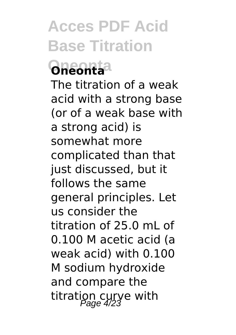### **Oneonta Oneonta**

The titration of a weak acid with a strong base (or of a weak base with a strong acid) is somewhat more complicated than that just discussed, but it follows the same general principles. Let us consider the titration of 25.0 mL of 0.100 M acetic acid (a weak acid) with 0.100 M sodium hydroxide and compare the titration curve with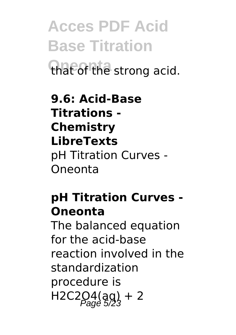**Acces PDF Acid Base Titration** that of the strong acid.

**9.6: Acid-Base Titrations - Chemistry LibreTexts** pH Titration Curves - Oneonta

#### **pH Titration Curves - Oneonta**

The balanced equation for the acid-base reaction involved in the standardization procedure is  $H2C2Q4(qg) + 2$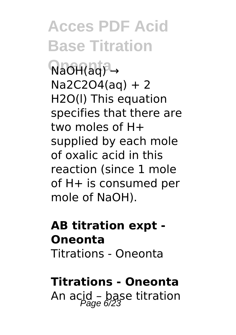NaOH(ag) →  $Na2C2O4(aq) + 2$ H2O(l) This equation specifies that there are two moles of H+ supplied by each mole of oxalic acid in this reaction (since 1 mole of H+ is consumed per mole of NaOH).

#### **AB titration expt - Oneonta** Titrations - Oneonta

#### **Titrations - Oneonta**

An acid - base titration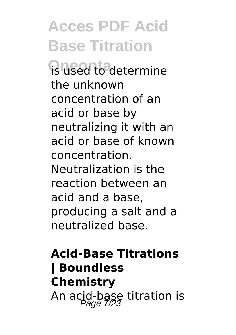**R** used to determine the unknown concentration of an acid or base by neutralizing it with an acid or base of known concentration. Neutralization is the reaction between an acid and a base, producing a salt and a neutralized base.

### **Acid-Base Titrations | Boundless Chemistry** An acid-base titration is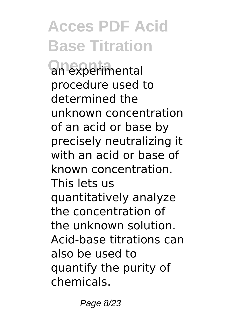an experimental procedure used to determined the unknown concentration of an acid or base by precisely neutralizing it with an acid or base of known concentration. This lets us quantitatively analyze the concentration of the unknown solution. Acid-base titrations can also be used to quantify the purity of chemicals.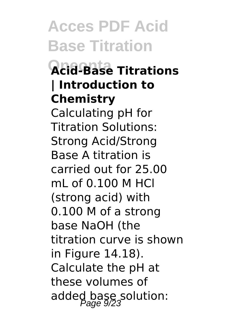### **Oneonta Acid-Base Titrations | Introduction to Chemistry**

Calculating pH for Titration Solutions: Strong Acid/Strong Base A titration is carried out for 25.00 mL of 0.100 M HCl (strong acid) with 0.100 M of a strong base NaOH (the titration curve is shown in Figure 14.18). Calculate the pH at these volumes of added base solution: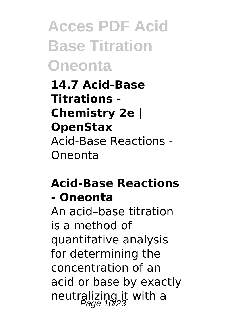**Acces PDF Acid Base Titration Oneonta**

**14.7 Acid-Base Titrations - Chemistry 2e | OpenStax** Acid-Base Reactions - Oneonta

#### **Acid-Base Reactions - Oneonta**

An acid–base titration is a method of quantitative analysis for determining the concentration of an acid or base by exactly neutralizing it with a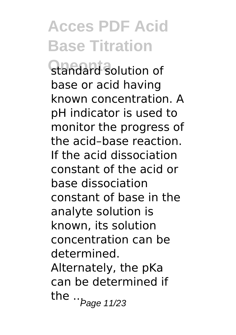standard solution of base or acid having known concentration. A pH indicator is used to monitor the progress of the acid–base reaction. If the acid dissociation constant of the acid or base dissociation constant of base in the analyte solution is known, its solution concentration can be determined. Alternately, the pKa can be determined if the  $\cdot$   $_{Page 11/23}$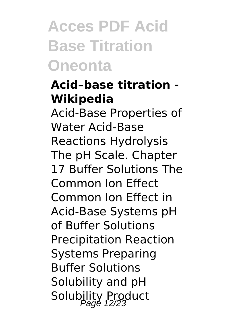### **Acces PDF Acid Base Titration Oneonta**

### **Acid–base titration - Wikipedia**

Acid-Base Properties of Water Acid-Base Reactions Hydrolysis The pH Scale. Chapter 17 Buffer Solutions The Common Ion Effect Common Ion Effect in Acid-Base Systems pH of Buffer Solutions Precipitation Reaction Systems Preparing Buffer Solutions Solubility and pH Solubility Product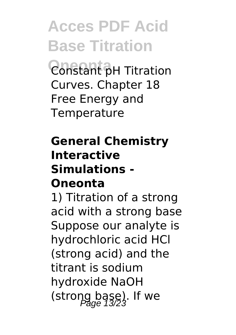**Constant pH Titration** Curves. Chapter 18 Free Energy and **Temperature** 

#### **General Chemistry Interactive Simulations - Oneonta**

1) Titration of a strong acid with a strong base Suppose our analyte is hydrochloric acid HCl (strong acid) and the titrant is sodium hydroxide NaOH  $(\text{strong } \text{bag } )$ . If we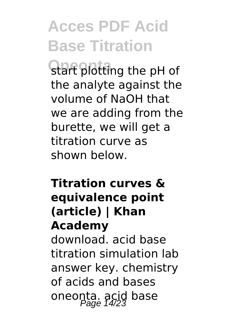start plotting the pH of the analyte against the volume of NaOH that we are adding from the burette, we will get a titration curve as shown below.

#### **Titration curves & equivalence point (article) | Khan Academy**

download. acid base titration simulation lab answer key. chemistry of acids and bases oneonta. acid base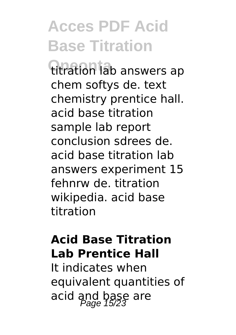titration lab answers ap chem softys de. text chemistry prentice hall. acid base titration sample lab report conclusion sdrees de. acid base titration lab answers experiment 15 fehnrw de. titration wikipedia. acid base titration

#### **Acid Base Titration Lab Prentice Hall**

It indicates when equivalent quantities of acid and base are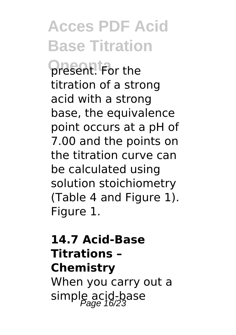**present.** For the titration of a strong acid with a strong base, the equivalence point occurs at a pH of 7.00 and the points on the titration curve can be calculated using solution stoichiometry (Table 4 and Figure 1). Figure 1.

### **14.7 Acid-Base Titrations – Chemistry** When you carry out a simple acid-base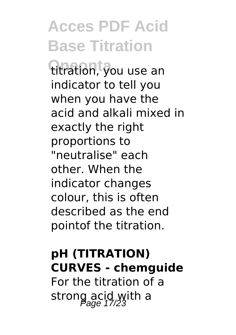titration, you use an indicator to tell you when you have the acid and alkali mixed in exactly the right proportions to "neutralise" each other. When the indicator changes colour, this is often described as the end pointof the titration.

### **pH (TITRATION) CURVES - chemguide**

For the titration of a strong acid with a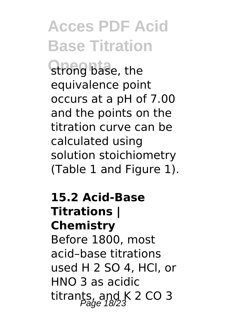strong base, the equivalence point occurs at a pH of 7.00 and the points on the titration curve can be calculated using solution stoichiometry (Table 1 and Figure 1).

#### **15.2 Acid-Base Titrations | Chemistry** Before 1800, most acid–base titrations used H 2 SO 4, HCl, or HNO 3 as acidic

titrants, and K 2 CO 3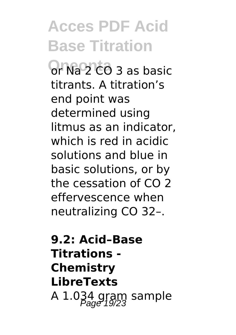**Or Na 2 CO 3 as basic** titrants. A titration's end point was determined using litmus as an indicator, which is red in acidic solutions and blue in basic solutions, or by the cessation of CO 2 effervescence when neutralizing CO 32–.

**9.2: Acid–Base Titrations - Chemistry LibreTexts** A  $1.034$  gram sample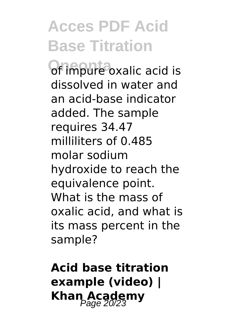of impure oxalic acid is dissolved in water and an acid-base indicator added. The sample requires 34.47 milliliters of 0.485 molar sodium hydroxide to reach the equivalence point. What is the mass of oxalic acid, and what is its mass percent in the sample?

**Acid base titration example (video) | Khan Academy**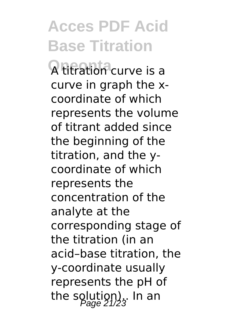**Oneonta** A titration curve is a curve in graph the xcoordinate of which represents the volume of titrant added since the beginning of the titration, and the ycoordinate of which represents the concentration of the analyte at the corresponding stage of the titration (in an acid–base titration, the y-coordinate usually represents the pH of the solution). In an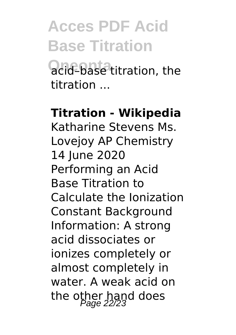acid-base titration, the titration ...

#### **Titration - Wikipedia**

Katharine Stevens Ms. Lovejoy AP Chemistry 14 June 2020 Performing an Acid Base Titration to Calculate the Ionization Constant Background Information: A strong acid dissociates or ionizes completely or almost completely in water. A weak acid on the other hand does